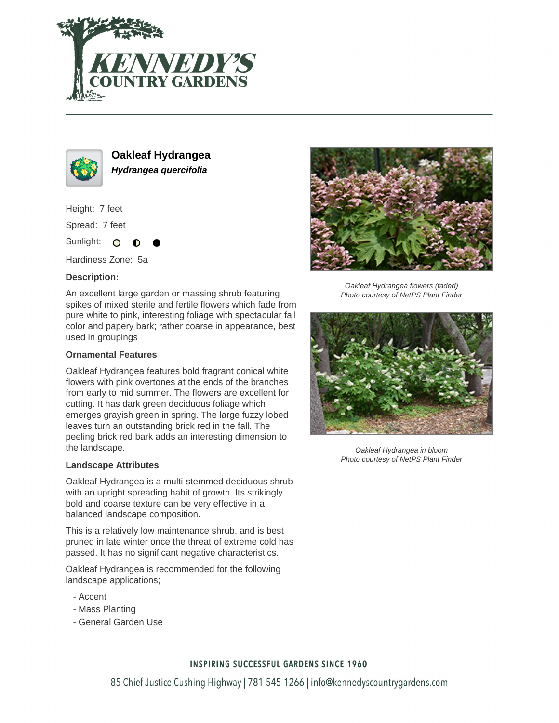



**Oakleaf Hydrangea Hydrangea quercifolia**

Height: 7 feet

Spread: 7 feet

Sunlight: O

Hardiness Zone: 5a

## **Description:**

An excellent large garden or massing shrub featuring spikes of mixed sterile and fertile flowers which fade from pure white to pink, interesting foliage with spectacular fall color and papery bark; rather coarse in appearance, best used in groupings

## **Ornamental Features**

Oakleaf Hydrangea features bold fragrant conical white flowers with pink overtones at the ends of the branches from early to mid summer. The flowers are excellent for cutting. It has dark green deciduous foliage which emerges grayish green in spring. The large fuzzy lobed leaves turn an outstanding brick red in the fall. The peeling brick red bark adds an interesting dimension to the landscape.

### **Landscape Attributes**

Oakleaf Hydrangea is a multi-stemmed deciduous shrub with an upright spreading habit of growth. Its strikingly bold and coarse texture can be very effective in a balanced landscape composition.

This is a relatively low maintenance shrub, and is best pruned in late winter once the threat of extreme cold has passed. It has no significant negative characteristics.

Oakleaf Hydrangea is recommended for the following landscape applications;

- Accent
- Mass Planting
- General Garden Use



Oakleaf Hydrangea flowers (faded) Photo courtesy of NetPS Plant Finder



Oakleaf Hydrangea in bloom Photo courtesy of NetPS Plant Finder

### **INSPIRING SUCCESSFUL GARDENS SINCE 1960**

85 Chief Justice Cushing Highway | 781-545-1266 | info@kennedyscountrygardens.com